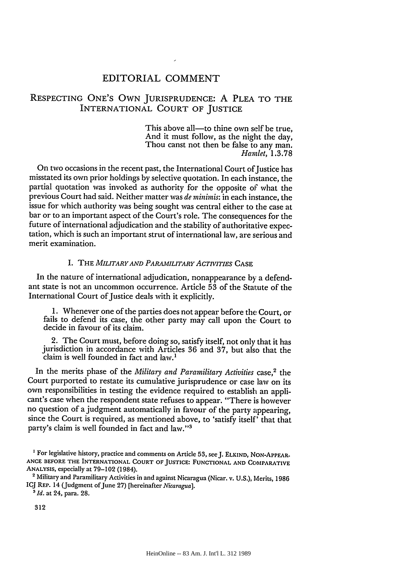# EDITORIAL COMMENT

# RESPECTING ONE'S OWN JURISPRUDENCE: A PLEA TO THE INTERNATIONAL COURT OF JUSTICE

This above all—to thine own self be true, And it must follow, as the night the day, Thou canst not then be false to any man. *Hamlet,* **1.3.78**

On two occasions in the recent past, the International Court of Justice has misstated its own prior holdings by selective quotation. In each instance, the partial quotation was invoked as authority for the opposite of what the previous Court had said. Neither matter was *de minimis:* in each instance, the issue for which authority was being sought was central either to the case at bar or to an important aspect of the Court's role. The consequences for the future of international adjudication and the stability of authoritative expectation, which is such an important strut of international law, are serious and merit examination.

### I. THE *MILITARY AND PARAMILITARY ACTIVITIES* CASE

In the nature of international adjudication, nonappearance by a defendant state is not an uncommon occurrence. Article 53 of the Statute of the International Court of Justice deals with it explicitly.

1. Whenever one of the parties does not appear before the Court, or fails to defend its case, the other party may call upon the Court to decide in favour of its claim.

2. The Court must, before doing so, satisfy itself, not only that it has jurisdiction in accordance with Articles 36 and 37, but also that the claim is well founded in fact and law.'

In the merits phase of the *Military and Paramilitary Activities* case,<sup>2</sup> the Court purported to restate its cumulative jurisprudence or case law on its own responsibilities in testing the evidence required to establish an applicant's case when the respondent state refuses to appear. "There is however no question of a judgment automatically in favour of the party appearing, since the Court is required, as mentioned above, to 'satisfy itself' that that party's claim is well founded in fact and law."<sup>3</sup>

312

**<sup>&#</sup>x27;** For legislative history, practice and comments on Article **53,** seeJ. **ELKIND, NON-APPEAR. ANCE BEFORE THE** INTERNATIONAL **COURT OF JUSTICE: FUNCTIONAL AND COMPARATIVE ANALYSIS,** especially at 79-102 (1984). <sup>2</sup>Military and Paramilitary Activities in and against Nicaragua (Nicar. v. **U.S.),** Merits, **<sup>1986</sup>**

ICJ **REP.** 14 (Judgment ofJune 27) [hereinafter *Nicaragua]. <sup>5</sup> Id.* at 24, para. **28.**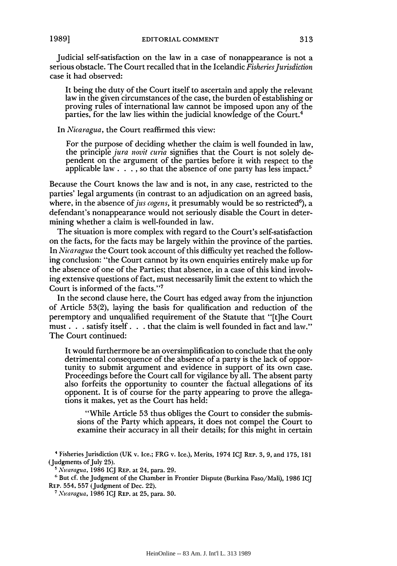Judicial self-satisfaction on the law in a case of nonappearance is not a serious obstacle. The Court recalled that in the Icelandic *Fisheries Jurisdiction* case it had observed:

It being the duty of the Court itself to ascertain and apply the relevant law in the given circumstances of the case, the burden of establishing or proving rules of international law cannot be imposed upon any of the parties, for the law lies within the judicial knowledge of the Court.<sup>4</sup>

In *Nicaragua,* the Court reaffirmed this view:

For the purpose of deciding whether the claim is well founded in law, the principle *jura novit curia* signifies that the Court is not solely dependent on the argument of the parties before it with respect to the applicable law. . **. ,** so that the absence of one party has less impact.5

Because the Court knows the law and is not, in any case, restricted to the parties' legal arguments (in contrast to an adjudication on an agreed basis, where, in the absence of *jus cogens*, it presumably would be so restricted<sup>6</sup>), a defendant's nonappearance would not seriously disable the Court in determining whether a claim is well-founded in law.

The situation is more complex with regard to the Court's self-satisfaction on the facts, for the facts may be largely within the province of the parties. In *Nicaragua* the Court took account of this difficulty yet reached the following conclusion: "the Court cannot by its own enquiries entirely make up for the absence of one of the Parties; that absence, in a case of this kind involving extensive questions of fact, must necessarily limit the extent to which the Court is informed of the facts."<sup>7</sup>

In the second clause here, the Court has edged away from the injunction of Article 53(2), laying the basis for qualification and reduction of the peremptory and unqualified requirement of the Statute that "[t]he Court must. **. .** satisfy itself. **. .** that the claim is well founded in fact and law." The Court continued:

It would furthermore be an oversimplification to conclude that the only detrimental consequence of the absence of a party is the lack of opportunity to submit argument and evidence in support of its own case. Proceedings before the Court call for vigilance by all. The absent party also forfeits the opportunity to counter the factual allegations of its opponent. It is of course for the party appearing to prove the allegations it makes, yet as the Court has held:

"While Article 53 thus obliges the Court to consider the submissions of the Party which appears, it does not compel the Court to examine their accuracy in all their details; for this might in certain

Fisheries Jurisdiction **(UK** v. Ice.; FRG v. Ice.), Merits, 1974 **ICJ** REP. **3, 9,** and **175, 181** (Judgments of July **25).**

Nicaragua, **1986** ICJ **REP.** at 24, para. 29.

<sup>&</sup>lt;sup>6</sup> But cf. the Judgment of the Chamber in Frontier Dispute (Burkina Faso/Mali), 1986 ICJ REP. 554, **557** (Judgment of Dec. 22).

*<sup>7</sup>Nicaragua,* **1986 IQJ** REP. at **25,** para. **30.**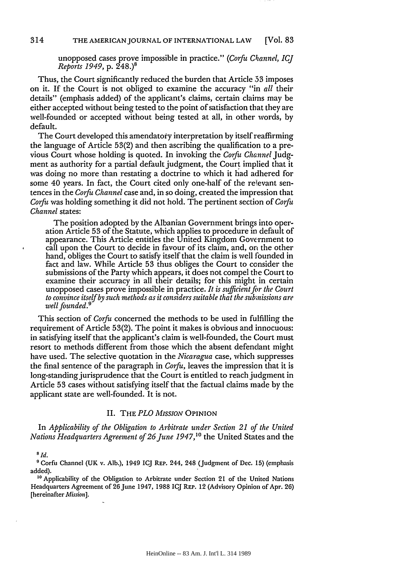unopposed cases prove impossible in practice." *(Corfu Channel, IC] Reports 1949,* **p.** 248.)8

Thus, the Court significantly reduced the burden that Article **53** imposes on it. If the Court is not obliged to examine the accuracy "in *all* their details" (emphasis added) of the applicant's claims, certain claims may be either accepted without being tested to the point of satisfaction that they are well-founded or accepted without being tested at all, in other words, by default.

The Court developed this amendatory interpretation by itself reaffirming the language of Article 53(2) and then ascribing the qualification to a previous Court whose holding is quoted. In invoking the *Corfu Channel* Judgment as authority for a partial default judgment, the Court implied that it was doing no more than restating a doctrine to which it had adhered for some 40 years. In fact, the Court cited only one-half of the relevant sentences in the *Corfu Channel* case and, in so doing, created the impression that *Corfu* was holding something it did not hold. The pertinent section of *Corfu Channel* states:

The position adopted by the Albanian Government brings into operation Article 53 of the Statute, which applies to procedure in default of appearance. This Article entitles the United Kingdom Government to call upon the Court to decide in favour of its claim, and, or the other hand, obliges the Court to satisfy itself that the claim is well founded in fact and law. While Article 53 thus obliges the Court to consider the submissions of the Party which appears, it does not compel the Court to examine their accuracy in all their details; for this might in certain unopposed cases prove impossible in practice. *It is sufficient* fir *the Court to convince itself by such methods as it considers suitable that the submissions are well founded.'*

This section of *Corfu* concerned the methods to be used in fulfilling the requirement of Article 53(2). The point it makes is obvious and innocuous: in satisfying itself that the applicant's claim is well-founded, the Court must resort to methods different from those which the absent defendant might have used. The selective quotation in the *Nicaragua* case, which suppresses the final sentence of the paragraph in *Corfu,* leaves the impression that it is long-standing jurisprudence that the Court is entitled to reach judgment in Article 53 cases without satisfying itself that the factual claims made by the applicant state are well-founded. It is not.

#### II. THE *PLO MISSION* OPINION

In *Applicability of the Obligation to Arbitrate under Section 21 of the United Nations Headquarters Agreement of 26 June 1947*,<sup>10</sup> the United States and the

#### *8Id.*

**9** Corfu Channel (UK v. Alb.), 1949 ICJ REP. 244, 248 (Judgment of Dec. 15) (emphasis added).

**10** Applicability of the Obligation to Arbitrate under Section 21 of the United Nations Headquarters Agreement of 26 June 1947, **1988 ICJ REP.** 12 (Advisory Opinion of Apr. 26) [hereinafter *Mission].*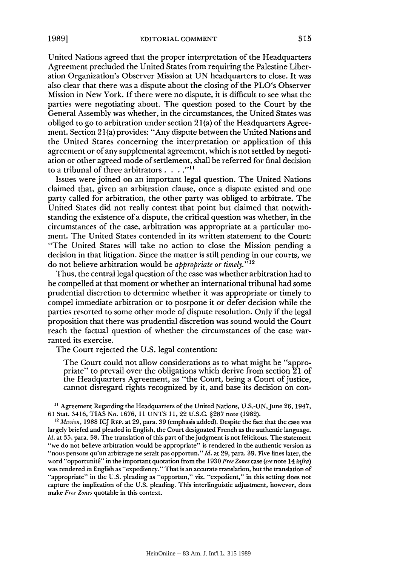United Nations agreed that the proper interpretation of the Headquarters Agreement precluded the United States from requiring the Palestine Liberation Organization's Observer Mission at UN headquarters to close. It was also clear that there was a dispute about the closing of the PLO's Observer Mission in New York. If there were no dispute, it is difficult to see what the parties were negotiating about. The question posed to the Court by the General Assembly was whether, in the circumstances, the United States was obliged to go to arbitration under section 2 1(a) of the Headquarters Agreement. Section **21** (a) provides: "Any dispute between the United Nations and the United States concerning the interpretation or application of this agreement or of any supplemental agreement, which is not settled by negotiation or other agreed mode of settlement, shall be referred for final decision to a tribunal of three arbitrators **...."11**

Issues were joined on an important legal question. The United Nations claimed that, given an arbitration clause, once a dispute existed and one party called for arbitration, the other party was obliged to arbitrate. The United States did not really contest that point but claimed that notwithstanding the existence of a dispute, the critical question was whether, in the circumstances of the case, arbitration was appropriate at a particular moment. The United States contended in its written statement to the Court: "The United States will take no action to close the Mission pending a decision in that litigation. Since the matter is still pending in our courts, we do not believe arbitration would be *appropriate or timely."' <sup>2</sup>*

Thus, the central legal question of the case was whether arbitration had to be compelled at that moment or whether an international tribunal had some prudential discretion to determine whether it was appropriate or timely to compel immediate arbitration or to postpone it or defer decision while the parties resorted to some other mode of dispute resolution. Only if the legal proposition that there was prudential discretion was sound would the Court reach the factual question of whether the circumstances of the case warranted its exercise.

The Court rejected the U.S. legal contention:

The Court could not allow considerations as to what might be "appropriate" to prevail over the obligations which derive from section 21 of the Headquarters Agreement, as "the Court, being a Court of justice, cannot disregard rights recognized by it, and base its decision on con-

<sup>11</sup> Agreement Regarding the Headquarters of the United Nations, U.S.-UN, June 26, 1947, 61 Stat. 3416, TIAS No. 1676, 11 UNTS 11, 22 U.S.C. §287 note (1982).

<sup>12</sup> Mission, 1988 ICJ REP. at 29, para. 39 (emphasis added). Despite the fact that the case was largely briefed and pleaded in English, the Court designated French as the authentic language. *Id.* at 35, para. 58. The translation of this part of the judgment is not felicitous. The statement "we do not believe arbitration would be appropriate" is rendered in the authentic version as 'nous pensons qu'un arbitrage ne serait pas opportun." *Id.* at 29, para. 39. Five lines later, the word "opportunit6" in the important quotation from the 1930 *Free Zones case (see* note 14 *infra)* was rendered in English as "expediency." That is an accurate translation, but the translation of "appropriate" in the U.S. pleading as "opportun," viz. "expedient," in this setting does not capture the implication of the U.S. pleading. This interlinguistic adjustment, however, does make *Free Zones* quotable in this context.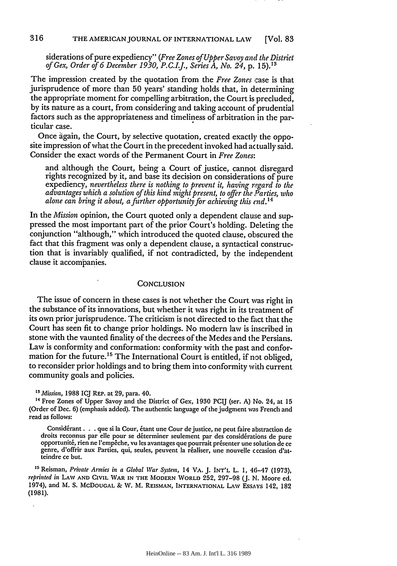siderations of pure expediency" *(Free Zones of Upper Savoy and the District of Gex, Order of 6 December 1930, P.C.I.J., Series A, No. 24,* p. 15). **"**

The impression created by the quotation from the *Free Zones* case is that jurisprudence of more than 50 years' standing holds that, in determining the appropriate moment for compelling arbitration, the Court is precluded, by its nature as a court, from considering and taking account of prudential factors such as the appropriateness and timeliness of arbitration in the particular case.

Once àgain, the Court, by selective quotation, created exactly the opposite impression of what the Court in the precedent invoked had actually said. Consider the exact words of the Permanent Court in *Free Zones:*

and although the Court, being a Court of justice, cannot. disregard rights recognized by it, and base its decision on considerations of pure expediency, *nevertheless there is nothing to prevent it, having regard to the advantages which a solution of this kind might present, to offer the ,Parties, who alone can bring it about, a further opportunity for achieving this end.*<sup>14</sup>

In the *Mission* opinion, the Court quoted only a dependent clause and suppressed the most important part of the prior Court's holding. Deleting the conjunction "although," which introduced the quoted clause, obscured the fact that this fragment was only a dependent clause, a syntactical construction that is invariably qualified, if not contradicted, by the independent clause it accompanies.

### **CONCLUSION**

The issue of concern in these cases is not whether the Court was right in the substance of its innovations, but whether it was right in its treatment of its own prior jurisprudence. The criticism is not directed to the fact that the Court has seen fit to change prior holdings. No modern law is inscribed in stone with the vaunted finality of the decrees of the Medes and the Persians. Law is conformity and conformation: conformity with the past and conformation for the future.<sup>15</sup> The International Court is entitled, if not obliged, to reconsider prior holdings and to bring them into conformity with current community goals and policies.

*13Mission,* **1988** ICJ REP. at 29, para. 40.

<sup>14</sup> Free Zones of Upper Savoy and the District of Gex, 1930 PCIJ (ser. A) No. 24, at 15 (Order of Dec. **6)** (emphasis added). The authentic language of the judgment was French and read as follows:

Considérant. . . que si la Cour, étant une Cour de justice, ne peut faire abstraction de droits reconnus par elle pour se déterminer seulement par des considérations de pure opportunité, rien ne l'empêche, vu les avantages que pourrait présenter une solution de ce genre, d'offrir aux Parties, qui, seules, peuvent la réaliser, une nouvelle cccasion d'atteindre ce but.

<sup>15</sup> Reisman, *Private Armies in a Global War System*, 14 VA. J. INT'L L. 1, 46-47 (1973), *reprinted in* **LAW AND** CIVIL WAR **IN** THE MODERN **WORLD 252,** 297-98 (J. **N.** Moore **ed.** 1974), and M. **S.** McDOUGAL **&** W. M. REISMAN, INTERNATIONAL LAw ESSAYS 142, **182 (1981).**